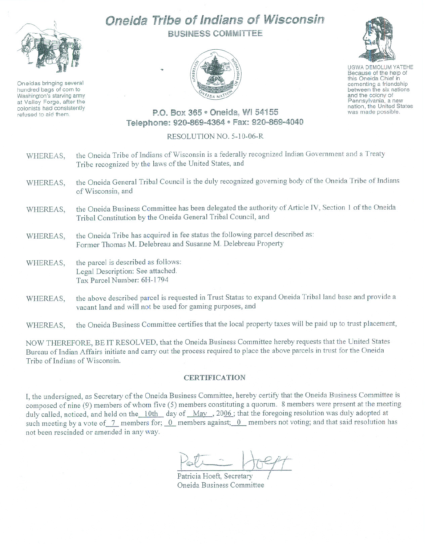

Oneidas bringing several hundred bags of corn to Washington's starving army at Valley Forge, after the colonists had consistently refused to aid them.

## Oneida Tribe of Indians of Wisconsin BUSINESS COMMITTEE





UGWA DEMOLUM YATEHE Because of the help of this Oneida Chief in cementing <sup>a</sup> friendship between the six nations and the colony of<br>Pennsylvania, a new nation, the United States was made possible.

## P.O. Box 365 · Oneida, WI 54155 Telephone: 920-869-4364 ® Fax: 920-869-4040

## RESOLUTION NO. 5-10-06-R

| WHEREAS, | the Oneida Tribe of Indians of Wisconsin is a federally recognized Indian Government and a Treaty<br>Tribe recognized by the laws of the United States, and            |
|----------|------------------------------------------------------------------------------------------------------------------------------------------------------------------------|
| WHEREAS, | the Oneida General Tribal Council is the duly recognized governing body of the Oneida Tribe of Indians<br>of Wisconsin, and                                            |
| WHEREAS, | the Oneida Business Committee has been delegated the authority of Article IV, Section 1 of the Oneida<br>Tribal Constitution by the Oneida General Tribal Council, and |
| WHEREAS, | the Oneida Tribe has acquired in fee status the following parcel described as:<br>Former Thomas M. Delebreau and Susanne M. Delebreau Property                         |
| WHEREAS, | the parcel is described as follows:<br>Legal Description: See attached.<br>Tax Parcel Number: 6H-1794                                                                  |
| WHEREAS, | the above described parcel is requested in Trust Status to expand Oneida Tribal land base and provide a<br>vacant land and will not be used for gaming purposes, and   |

WHEREAS, the Oneida Business Committee certifies that the local property taxes will be paid up to trust placement,

NOW THEREFORE, BE IT RESOLVED, that the Oneida Business Committee hereby requests tbat the United States Bureau of Indian Affairs initiate and carry out the process required to place the above parcels in trust for the Oneida Tribe of Indians of Wisconsin.

## CERTIFICATION

**I,** the undersigned, as Secretary of the Oneida Business Committee, hereby certify that the Oneida Business Committee is composed of nine (9) members of whom five (5) members constituting a quorum. 8 members were present at the meeting duly called, noticed, and held on the 10th day of May , 2006; that the foregoing resolution was duly adopted at such meeting by a vote of  $\overline{L}$  members for;  $\overline{0}$  members against;  $\overline{0}$  members not voting; and that said resolution has not been rescinded or amended in any way.

 $P$ eti - Hoept

Patricia Hoeft, Secretary / Oneida Business Committee